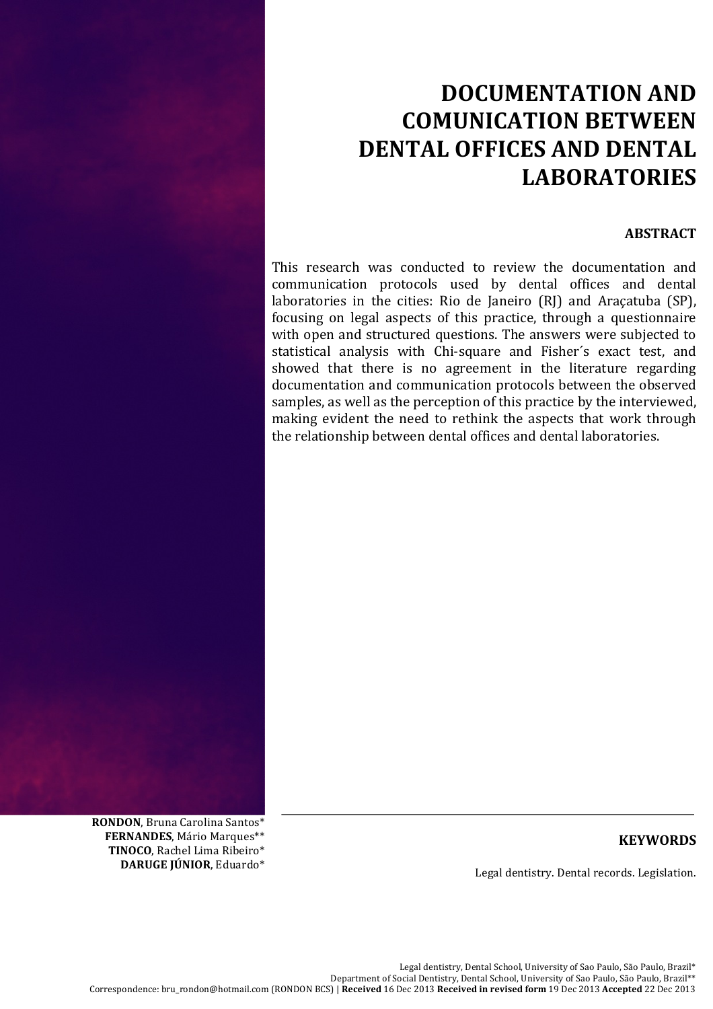# **DOCUMENTATION'AND' COMUNICATION'BETWEEN** DENTAL OFFICES AND DENTAL **LABORATORIES**

## **ABSTRACT**

This research was conducted to review the documentation and communication protocols used by dental offices and dental laboratories in the cities: Rio de Janeiro  $(RI)$  and Araçatuba (SP), focusing on legal aspects of this practice, through a questionnaire with open and structured questions. The answers were subjected to statistical analysis with Chi-square and Fisher's exact test, and showed that there is no agreement in the literature regarding documentation and communication protocols between the observed samples, as well as the perception of this practice by the interviewed, making evident the need to rethink the aspects that work through the relationship between dental offices and dental laboratories.

RONDON, Bruna Carolina Santos\* **FERNANDES**, Mário Marques\*\* **TINOCO**, Rachel Lima Ribeiro\* DARUGE JÚNIOR, Eduardo\*

# **KEYWORDS**

Legal dentistry. Dental records. Legislation.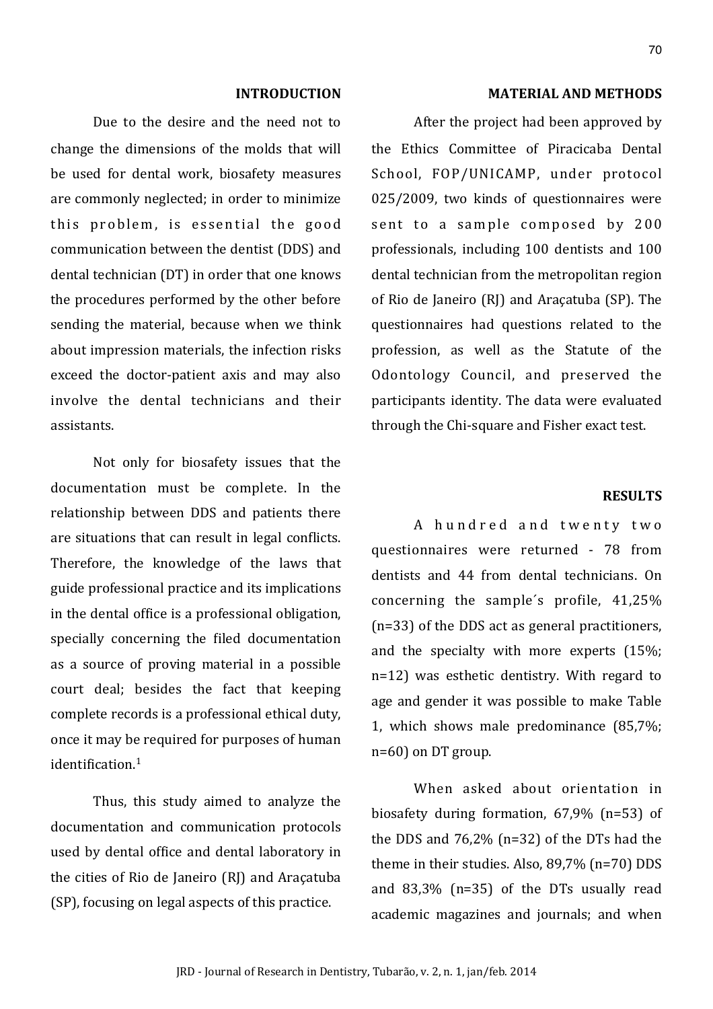#### **INTRODUCTION**

Due to the desire and the need not to change the dimensions of the molds that will be used for dental work, biosafety measures are commonly neglected; in order to minimize this problem, is essential the good communication between the dentist (DDS) and dental technician (DT) in order that one knows the procedures performed by the other before sending the material, because when we think about impression materials, the infection risks exceed the doctor-patient axis and may also involve the dental technicians and their assistants.

Not only for biosafety issues that the documentation must be complete. In the relationship between DDS and patients there are situations that can result in legal conflicts. Therefore, the knowledge of the laws that guide professional practice and its implications in the dental office is a professional obligation, specially concerning the filed documentation as a source of proving material in a possible court deal; besides the fact that keeping complete records is a professional ethical duty, once it may be required for purposes of human  $identification<sup>1</sup>$ 

Thus, this study aimed to analyze the documentation and communication protocols used by dental office and dental laboratory in the cities of Rio de Janeiro (RJ) and Araçatuba (SP), focusing on legal aspects of this practice.

#### **MATERIAL AND METHODS**

After the project had been approved by the Ethics Committee of Piracicaba Dental School, FOP/UNICAMP, under protocol 025/2009, two kinds of questionnaires were sent to a sample composed by 200 professionals, including 100 dentists and 100 dental technician from the metropolitan region of Rio de Janeiro (RJ) and Aracatuba (SP). The questionnaires had questions related to the profession, as well as the Statute of the Odontology Council, and preserved the participants identity. The data were evaluated through the Chi-square and Fisher exact test.

## **RESILTS**

A hundred and twenty two questionnaires were returned - 78 from dentists and 44 from dental technicians. On concerning the sample's profile, 41,25% (n=33) of the DDS act as general practitioners, and the specialty with more experts (15%;  $n=12$ ) was esthetic dentistry. With regard to age and gender it was possible to make Table 1, which shows male predominance (85,7%;  $n=60$ ) on DT group.

When asked about orientation in biosafety during formation,  $67.9\%$  (n=53) of the DDS and  $76,2\%$  (n=32) of the DTs had the theme in their studies. Also,  $89.7\%$  (n=70) DDS and 83,3% (n=35) of the DTs usually read academic magazines and journals; and when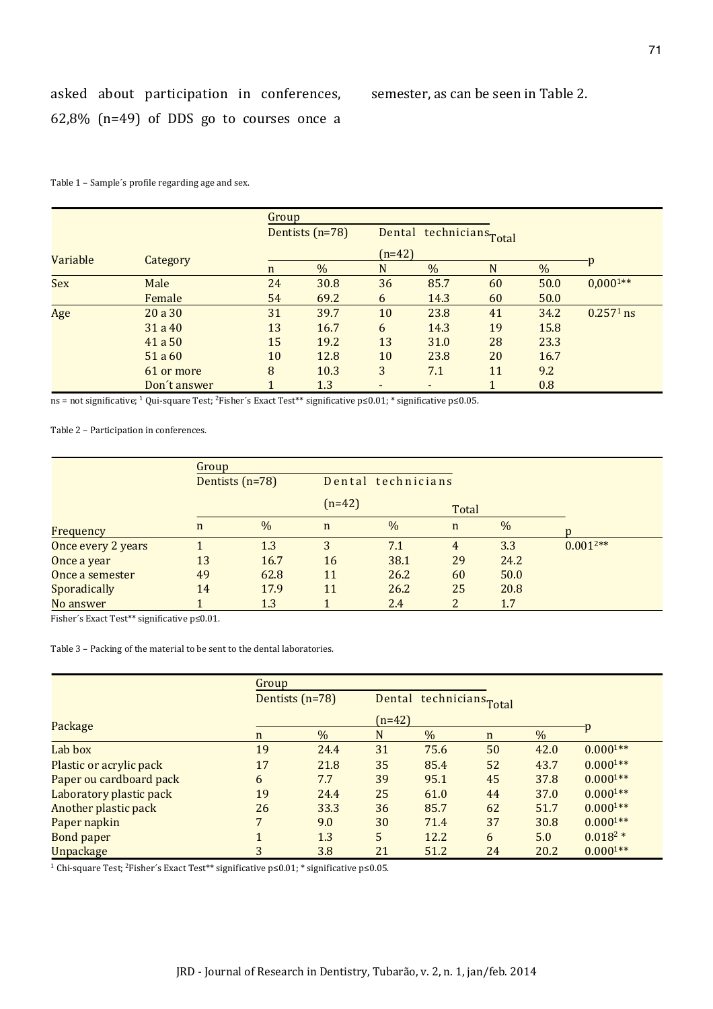semester, as can be seen in Table 2.

Table 1 - Sample's profile regarding age and sex.

|            | Category     | Group       |                   |          |                          |    |      |               |  |  |
|------------|--------------|-------------|-------------------|----------|--------------------------|----|------|---------------|--|--|
|            |              |             | Dentists $(n=78)$ |          | Dental technicians Total |    |      |               |  |  |
| Variable   |              |             |                   | $(n=42)$ |                          |    |      |               |  |  |
|            |              | $\mathbf n$ | $\%$              | N        | $\frac{0}{0}$            | N  | %    |               |  |  |
| <b>Sex</b> | Male         | 24          | 30.8              | 36       | 85.7                     | 60 | 50.0 | $0,000^{1**}$ |  |  |
|            | Female       | 54          | 69.2              | 6        | 14.3                     | 60 | 50.0 |               |  |  |
| Age        | 20a30        | 31          | 39.7              | 10       | 23.8                     | 41 | 34.2 | $0.2571$ ns   |  |  |
|            | 31a40        | 13          | 16.7              | 6        | 14.3                     | 19 | 15.8 |               |  |  |
|            | 41a50        | 15          | 19.2              | 13       | 31.0                     | 28 | 23.3 |               |  |  |
|            | 51 a 60      | 10          | 12.8              | 10       | 23.8                     | 20 | 16.7 |               |  |  |
|            | 61 or more   | 8           | 10.3              | 3        | 7.1                      | 11 | 9.2  |               |  |  |
|            | Don't answer |             | 1.3               | -        |                          |    | 0.8  |               |  |  |

ns = not significative; <sup>1</sup> Qui-square Test; <sup>2</sup>Fisher's Exact Test\*\* significative p  $\leq$  0.01; \* significative p  $\leq$  0.05.

Table 2 - Participation in conferences.

|                    | Group       |      |                    |      |                |      |               |
|--------------------|-------------|------|--------------------|------|----------------|------|---------------|
| Dentists $(n=78)$  |             |      | Dental technicians |      |                |      |               |
|                    |             |      | $(n=42)$           |      | Total          |      |               |
| Frequency          | $\mathbf n$ | $\%$ | $\mathbf n$        | $\%$ | $\mathbf n$    | $\%$ |               |
| Once every 2 years |             | 1.3  | 3                  | 7.1  | $\overline{4}$ | 3.3  | $0.001^{2**}$ |
| Once a year        | 13          | 16.7 | 16                 | 38.1 | 29             | 24.2 |               |
| Once a semester    | 49          | 62.8 | 11                 | 26.2 | 60             | 50.0 |               |
| Sporadically       | 14          | 17.9 | 11                 | 26.2 | 25             | 20.8 |               |
| No answer          |             | 1.3  |                    | 2.4  | 2              | 1.7  |               |

Fisher's Exact Test\*\* significative p<0.01.

Table 3 - Packing of the material to be sent to the dental laboratories.

|                         | Group |                 |                |                          |             |               |              |
|-------------------------|-------|-----------------|----------------|--------------------------|-------------|---------------|--------------|
|                         |       | Dentists (n=78) |                | Dental technicians Total |             |               |              |
| Package                 |       |                 | $(n=42)$       |                          |             |               |              |
|                         | n     | $\%$            | N              | %                        | $\mathbf n$ | $\frac{0}{0}$ | ٠p           |
| Lab box                 | 19    | 24.4            | 31             | 75.6                     | 50          | 42.0          | $0.0001**$   |
| Plastic or acrylic pack | 17    | 21.8            | 35             | 85.4                     | 52          | 43.7          | $0.0001**$   |
| Paper ou cardboard pack | 6     | 7.7             | 39             | 95.1                     | 45          | 37.8          | $0.0001**$   |
| Laboratory plastic pack | 19    | 24.4            | 25             | 61.0                     | 44          | 37.0          | $0.0001**$   |
| Another plastic pack    | 26    | 33.3            | 36             | 85.7                     | 62          | 51.7          | $0.0001**$   |
| Paper napkin            |       | 9.0             | 30             | 71.4                     | 37          | 30.8          | $0.0001**$   |
| <b>Bond paper</b>       |       | 1.3             | 5 <sup>5</sup> | 12.2                     | 6           | 5.0           | $0.018^{2*}$ |
| <b>Unpackage</b>        | 3     | 3.8             | 21             | 51.2                     | 24          | 20.2          | $0.0001**$   |

 $^1$  Chi-square Test;  $^2$  Fisher's Exact Test\*\* significative p<0.01; \* significative p<0.05.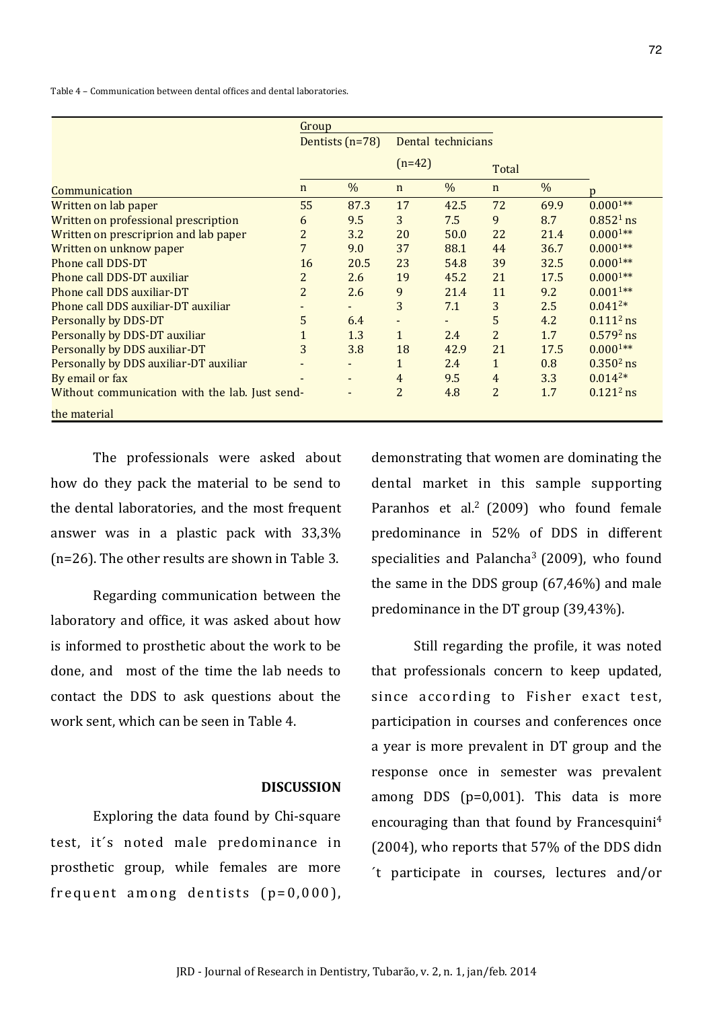Table 4 – Communication between dental offices and dental laboratories.

|                                                | Group             |                          |                    |      |                |      |               |
|------------------------------------------------|-------------------|--------------------------|--------------------|------|----------------|------|---------------|
|                                                | Dentists $(n=78)$ |                          | Dental technicians |      |                |      |               |
|                                                |                   |                          | $(n=42)$           |      | Total          |      |               |
| Communication                                  | $\mathbf n$       | $\%$                     | $\mathbf n$        | $\%$ | $\mathbf n$    | $\%$ | $\mathbf{D}$  |
| Written on lab paper                           | 55                | 87.3                     | 17                 | 42.5 | 72             | 69.9 | $0.0001**$    |
| Written on professional prescription           | 6                 | 9.5                      | 3                  | 7.5  | 9              | 8.7  | $0.8521$ ns   |
| Written on prescriprion and lab paper          | $\overline{2}$    | 3.2                      | 20                 | 50.0 | 22             | 21.4 | $0.0001**$    |
| Written on unknow paper                        | $\overline{7}$    | 9.0                      | 37                 | 88.1 | 44             | 36.7 | $0.0001**$    |
| Phone call DDS-DT                              | 16                | 20.5                     | 23                 | 54.8 | 39             | 32.5 | $0.0001**$    |
| Phone call DDS-DT auxiliar                     | $\overline{2}$    | 2.6                      | 19                 | 45.2 | 21             | 17.5 | $0.0001**$    |
| Phone call DDS auxiliar-DT                     | $\overline{2}$    | 2.6                      | 9                  | 21.4 | 11             | 9.2  | $0.001^{1**}$ |
| Phone call DDS auxiliar-DT auxiliar            |                   | $\overline{\phantom{a}}$ | 3                  | 7.1  | 3              | 2.5  | $0.041^{2*}$  |
| <b>Personally by DDS-DT</b>                    | 5                 | 6.4                      | $\blacksquare$     |      | 5              | 4.2  | $0.111^2$ ns  |
| Personally by DDS-DT auxiliar                  |                   | 1.3                      | $\mathbf{1}$       | 2.4  | $\overline{2}$ | 1.7  | $0.5792$ ns   |
| Personally by DDS auxiliar-DT                  | 3                 | 3.8                      | 18                 | 42.9 | 21             | 17.5 | $0.0001**$    |
| Personally by DDS auxiliar-DT auxiliar         |                   |                          | $\mathbf{1}$       | 2.4  | $\mathbf{1}$   | 0.8  | $0.3502$ ns   |
| By email or fax                                |                   |                          | $\overline{4}$     | 9.5  | $\overline{4}$ | 3.3  | $0.014^{2*}$  |
| Without communication with the lab. Just send- |                   |                          | $\overline{2}$     | 4.8  | $\overline{2}$ | 1.7  | $0.121^2$ ns  |
| the material                                   |                   |                          |                    |      |                |      |               |

The professionals were asked about how do they pack the material to be send to the dental laboratories, and the most frequent answer was in a plastic pack with  $33.3\%$ ( $n=26$ ). The other results are shown in Table 3.

Regarding communication between the laboratory and office, it was asked about how is informed to prosthetic about the work to be done, and most of the time the lab needs to contact the DDS to ask questions about the work sent, which can be seen in Table 4.

### **DISCUSSION**

Exploring the data found by Chi-square test, it's noted male predominance in prosthetic group, while females are more frequent among dentists  $(p=0, 000)$ ,

demonstrating that women are dominating the dental market in this sample supporting Paranhos et al.<sup>2</sup> (2009) who found female predominance in 52% of DDS in different specialities and Palancha<sup>3</sup> (2009), who found the same in the DDS group  $(67,46%)$  and male predominance in the DT group  $(39,43%)$ .

Still regarding the profile, it was noted that professionals concern to keep updated, since according to Fisher exact test, participation in courses and conferences once a year is more prevalent in DT group and the response once in semester was prevalent among DDS ( $p=0,001$ ). This data is more encouraging than that found by Francesquini<sup>4</sup>  $(2004)$ , who reports that 57% of the DDS didn  $'t$  participate in courses, lectures and/or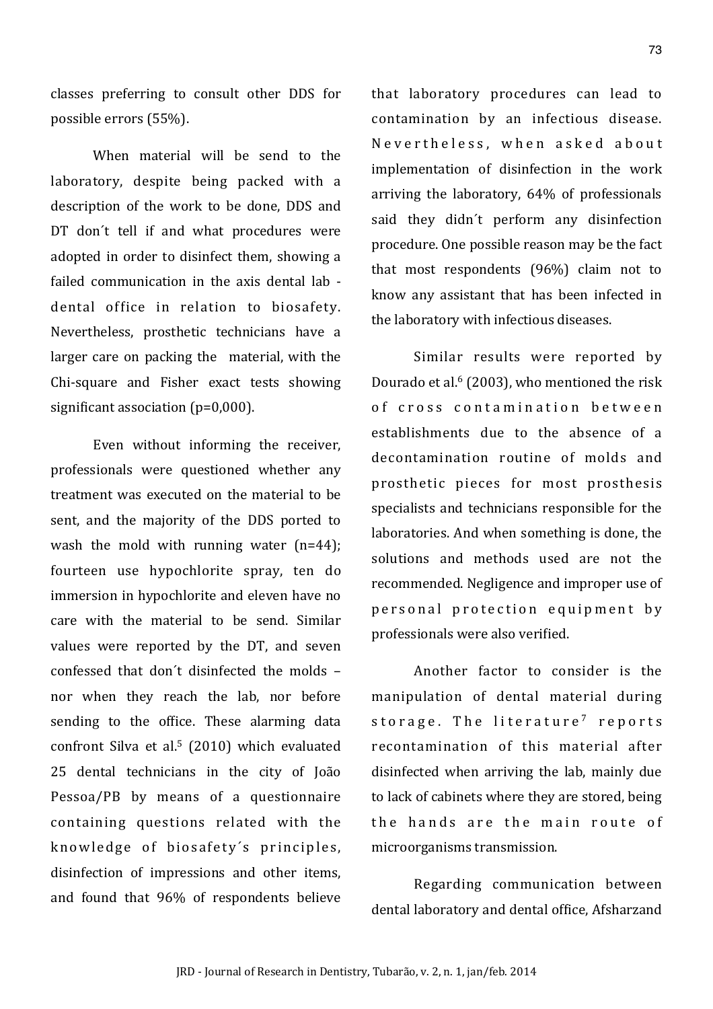classes preferring to consult other DDS for possible errors (55%).

When material will be send to the laboratory, despite being packed with a description of the work to be done, DDS and DT don't tell if and what procedures were adopted in order to disinfect them, showing a failed communication in the axis dental lab dental office in relation to biosafety. Nevertheless, prosthetic technicians have a larger care on packing the material, with the Chi-square and Fisher exact tests showing significant association ( $p=0,000$ ).

Even without informing the receiver, professionals were questioned whether any treatment was executed on the material to be sent, and the majority of the DDS ported to wash the mold with running water  $(n=44)$ : fourteen use hypochlorite spray, ten do immersion in hypochlorite and eleven have no care with the material to be send. Similar values were reported by the DT, and seven confessed that don't disinfected the molds nor when they reach the lab, nor before sending to the office. These alarming data confront Silva et al.<sup>5</sup> (2010) which evaluated 25 dental technicians in the city of Ioão Pessoa/PB by means of a questionnaire containing questions related with the knowledge of biosafety's principles, disinfection of impressions and other items. and found that 96% of respondents believe that laboratory procedures can lead to contamination by an infectious disease. Nevertheless, when asked about implementation of disinfection in the work arriving the laboratory, 64% of professionals said they didn't perform any disinfection procedure. One possible reason may be the fact that most respondents (96%) claim not to know any assistant that has been infected in the laboratory with infectious diseases.

Similar results were reported by Dourado et al.<sup>6</sup> (2003), who mentioned the risk of cross contamination between establishments due to the absence of a decontamination routine of molds and prosthetic pieces for most prosthesis specialists and technicians responsible for the laboratories. And when something is done, the solutions and methods used are not the recommended. Negligence and improper use of personal protection equipment by professionals were also verified.

Another factor to consider is the manipulation of dental material during storage. The literature<sup>7</sup> reports recontamination of this material after disinfected when arriving the lab, mainly due to lack of cabinets where they are stored, being the hands are the main route of microorganisms transmission.

Regarding communication between dental laboratory and dental office, Afsharzand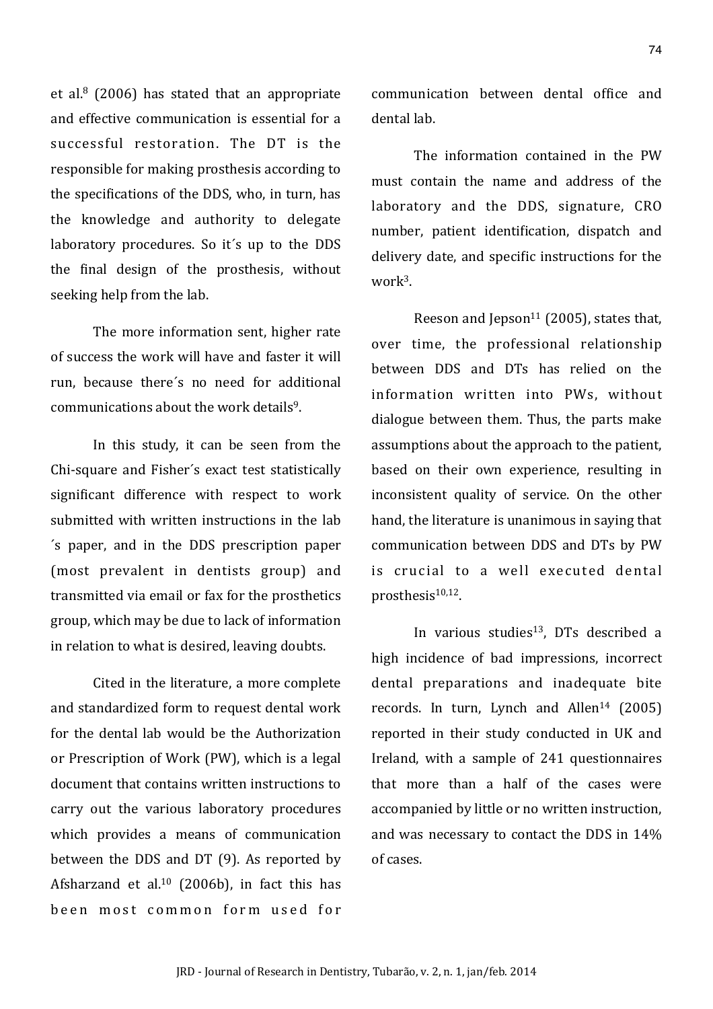et al. $8(2006)$  has stated that an appropriate and effective communication is essential for a successful restoration. The DT is the responsible for making prosthesis according to the specifications of the DDS, who, in turn, has the knowledge and authority to delegate laboratory procedures. So it's up to the DDS the final design of the prosthesis, without seeking help from the lab.

The more information sent, higher rate of success the work will have and faster it will run, because there's no need for additional communications about the work details<sup>9</sup>.

In this study, it can be seen from the Chi-square and Fisher's exact test statistically significant difference with respect to work submitted with written instructions in the lab 's paper, and in the DDS prescription paper (most prevalent in dentists group) and transmitted via email or fax for the prosthetics group, which may be due to lack of information in relation to what is desired, leaving doubts.

Cited in the literature, a more complete and standardized form to request dental work for the dental lab would be the Authorization or Prescription of Work (PW), which is a legal document that contains written instructions to carry out the various laboratory procedures which provides a means of communication between the DDS and DT (9). As reported by Afsharzand et al. $10$  (2006b), in fact this has been most common form used for communication between dental office and dental lah

The information contained in the PW must contain the name and address of the laboratory and the DDS, signature, CRO number, patient identification, dispatch and delivery date, and specific instructions for the work $3$ .

Reeson and Jepson<sup>11</sup> (2005), states that, over time, the professional relationship between DDS and DTs has relied on the information written into PWs, without dialogue between them. Thus, the parts make assumptions about the approach to the patient. based on their own experience, resulting in inconsistent quality of service. On the other hand, the literature is unanimous in saying that communication between DDS and DTs by PW is crucial to a well executed dental prosthesis<sup>10,12</sup>.

In various studies<sup>13</sup>, DTs described a high incidence of bad impressions, incorrect dental preparations and inadequate bite records. In turn, Lynch and Allen<sup>14</sup> (2005) reported in their study conducted in UK and Ireland, with a sample of 241 questionnaires that more than a half of the cases were accompanied by little or no written instruction, and was necessary to contact the DDS in 14% of cases.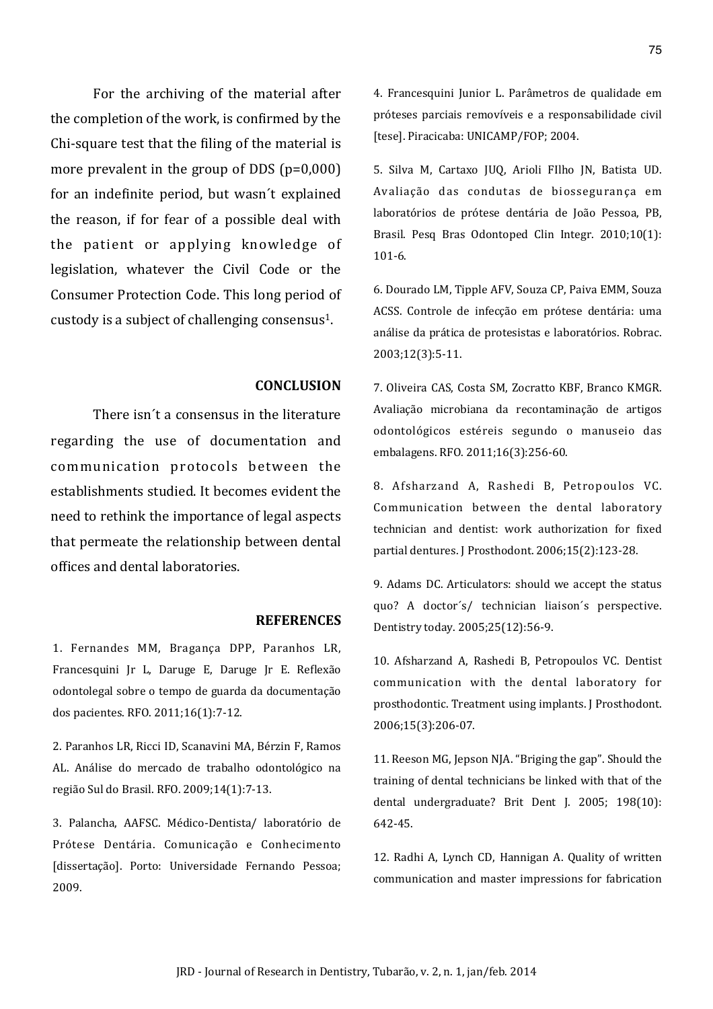For the archiving of the material after the completion of the work, is confirmed by the Chi-square test that the filing of the material is more prevalent in the group of DDS  $(p=0,000)$ for an indefinite period, but wasn't explained the reason, if for fear of a possible deal with the patient or applying knowledge of legislation, whatever the Civil Code or the Consumer Protection Code. This long period of custody is a subject of challenging consensus<sup>1</sup>.

#### **CONCLUSION**

There isn't a consensus in the literature regarding the use of documentation and communication protocols between the establishments studied. It becomes evident the need to rethink the importance of legal aspects that permeate the relationship between dental offices and dental laboratories.

#### **REFERENCES**

1. Fernandes MM, Bragança DPP, Paranhos LR, Francesquini Jr L, Daruge E, Daruge Jr E. Reflexão odontolegal sobre o tempo de guarda da documentação dos pacientes. RFO. 2011;16(1):7-12.

2. Paranhos LR, Ricci ID, Scanavini MA, Bérzin F, Ramos AL. Análise do mercado de trabalho odontológico na região Sul do Brasil. RFO. 2009;14(1):7-13.

3. Palancha, AAFSC, Médico-Dentista/ laboratório de Prótese Dentária. Comunicação e Conhecimento [dissertação]. Porto: Universidade Fernando Pessoa; 2009.

4. Francesquini Junior L. Parâmetros de qualidade em próteses parciais removíveis e a responsabilidade civil [tese]. Piracicaba: UNICAMP/FOP; 2004.

5. Silva M, Cartaxo JUQ, Arioli FIlho JN, Batista UD. Avaliação das condutas de biossegurança em laboratórios de prótese dentária de João Pessoa, PB, Brasil. Pesq Bras Odontoped Clin Integr. 2010;10(1):  $101-6.$ 

6. Dourado LM, Tipple AFV, Souza CP, Paiva EMM, Souza ACSS. Controle de infecção em prótese dentária: uma análise da prática de protesistas e laboratórios. Robrac. 2003;12(3):5-11.

7. Oliveira CAS, Costa SM, Zocratto KBF, Branco KMGR. Avaliação microbiana da recontaminação de artigos odontológicos estéreis segundo o manuseio das embalagens. RFO. 2011;16(3):256-60.

8. Afsharzand A, Rashedi B, Petropoulos VC. Communication between the dental laboratory technician and dentist: work authorization for fixed partial dentures. J Prosthodont. 2006;15(2):123-28.

9. Adams DC. Articulators: should we accept the status quo? A doctor's/ technician liaison's perspective. Dentistry today. 2005;25(12):56-9.

10. Afsharzand A, Rashedi B, Petropoulos VC. Dentist communication with the dental laboratory for prosthodontic. Treatment using implants. J Prosthodont. 2006;15(3):206-07.

11. Reeson MG, Jepson NJA. "Briging the gap". Should the training of dental technicians be linked with that of the dental undergraduate? Brit Dent J. 2005; 198(10): 642-45.

12. Radhi A, Lynch CD, Hannigan A. Quality of written communication and master impressions for fabrication